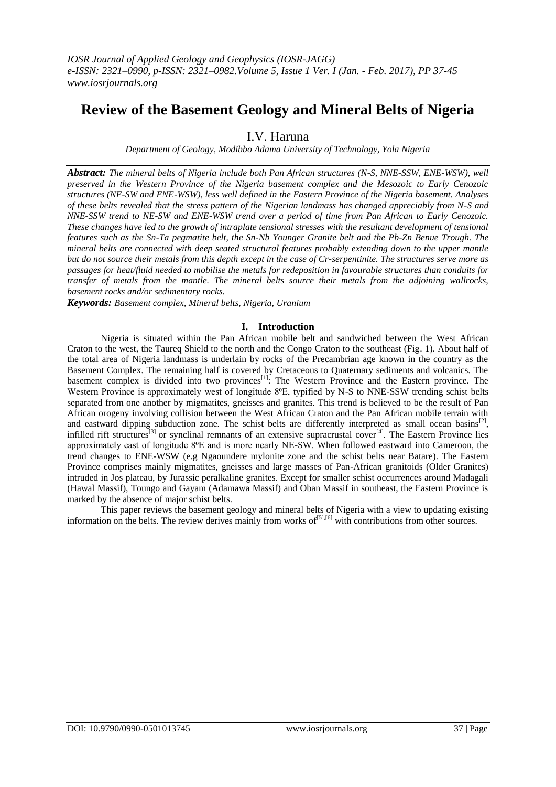# **Review of the Basement Geology and Mineral Belts of Nigeria**

I.V. Haruna

*Department of Geology, Modibbo Adama University of Technology, Yola Nigeria*

*Abstract: The mineral belts of Nigeria include both Pan African structures (N-S, NNE-SSW, ENE-WSW), well preserved in the Western Province of the Nigeria basement complex and the Mesozoic to Early Cenozoic structures (NE-SW and ENE-WSW), less well defined in the Eastern Province of the Nigeria basement. Analyses of these belts revealed that the stress pattern of the Nigerian landmass has changed appreciably from N-S and NNE-SSW trend to NE-SW and ENE-WSW trend over a period of time from Pan African to Early Cenozoic. These changes have led to the growth of intraplate tensional stresses with the resultant development of tensional features such as the Sn-Ta pegmatite belt, the Sn-Nb Younger Granite belt and the Pb-Zn Benue Trough. The mineral belts are connected with deep seated structural features probably extending down to the upper mantle but do not source their metals from this depth except in the case of Cr-serpentinite. The structures serve more as passages for heat/fluid needed to mobilise the metals for redeposition in favourable structures than conduits for transfer of metals from the mantle. The mineral belts source their metals from the adjoining wallrocks, basement rocks and/or sedimentary rocks.*

*Keywords: Basement complex, Mineral belts, Nigeria, Uranium*

## **I. Introduction**

Nigeria is situated within the Pan African mobile belt and sandwiched between the West African Craton to the west, the Taureq Shield to the north and the Congo Craton to the southeast (Fig. 1). About half of the total area of Nigeria landmass is underlain by rocks of the Precambrian age known in the country as the Basement Complex. The remaining half is covered by Cretaceous to Quaternary sediments and volcanics. The basement complex is divided into two provinces $[1]$ : The Western Province and the Eastern province. The Western Province is approximately west of longitude 8<sup>o</sup>E, typified by N-S to NNE-SSW trending schist belts separated from one another by migmatites, gneisses and granites. This trend is believed to be the result of Pan African orogeny involving collision between the West African Craton and the Pan African mobile terrain with and eastward dipping subduction zone. The schist belts are differently interpreted as small ocean basins<sup>[2]</sup>, infilled rift structures<sup>[3]</sup> or synclinal remnants of an extensive supracrustal cover<sup>[4]</sup>. The Eastern Province lies approximately east of longitude 8⁰E and is more nearly NE-SW. When followed eastward into Cameroon, the trend changes to ENE-WSW (e.g Ngaoundere mylonite zone and the schist belts near Batare). The Eastern Province comprises mainly migmatites, gneisses and large masses of Pan-African granitoids (Older Granites) intruded in Jos plateau, by Jurassic peralkaline granites. Except for smaller schist occurrences around Madagali (Hawal Massif), Toungo and Gayam (Adamawa Massif) and Oban Massif in southeast, the Eastern Province is marked by the absence of major schist belts.

This paper reviews the basement geology and mineral belts of Nigeria with a view to updating existing information on the belts. The review derives mainly from works of  $[5]$ ,  $[6]$  with contributions from other sources.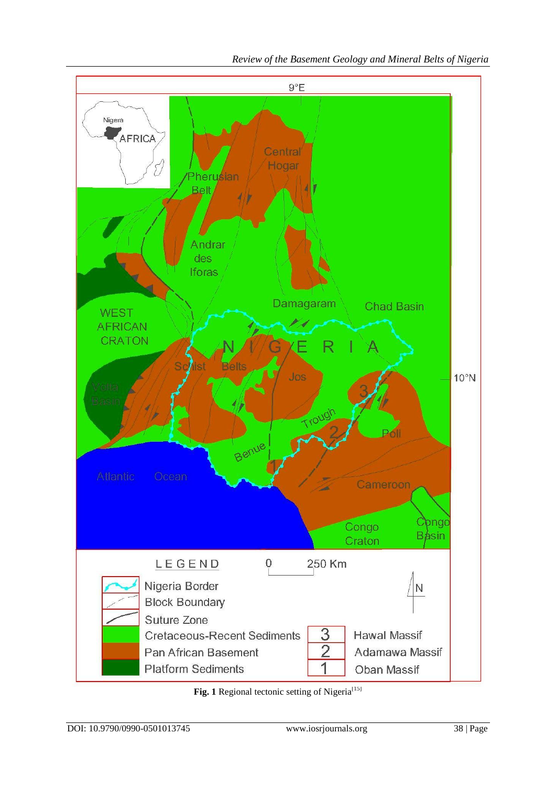

*Review of the Basement Geology and Mineral Belts of Nigeria*

Fig. 1 Regional tectonic setting of Nigeria<sup>[15]</sup>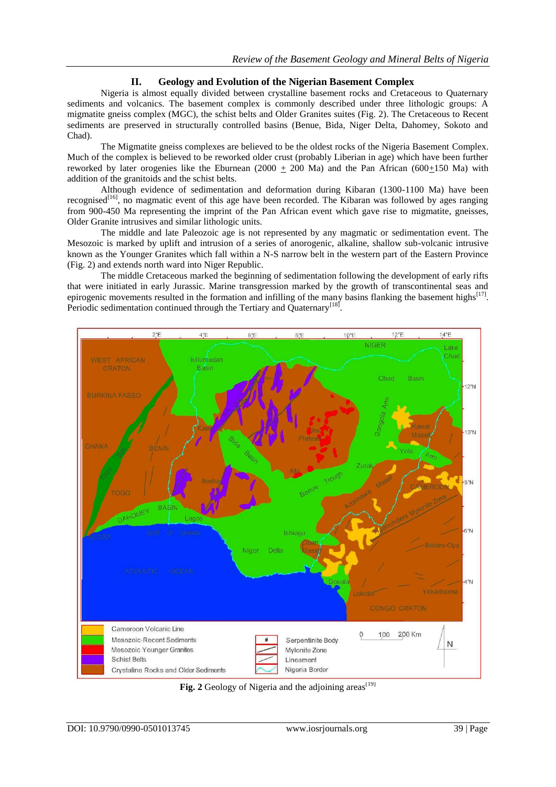## **II. Geology and Evolution of the Nigerian Basement Complex**

Nigeria is almost equally divided between crystalline basement rocks and Cretaceous to Quaternary sediments and volcanics. The basement complex is commonly described under three lithologic groups: A migmatite gneiss complex (MGC), the schist belts and Older Granites suites (Fig. 2). The Cretaceous to Recent sediments are preserved in structurally controlled basins (Benue, Bida, Niger Delta, Dahomey, Sokoto and Chad).

The Migmatite gneiss complexes are believed to be the oldest rocks of the Nigeria Basement Complex. Much of the complex is believed to be reworked older crust (probably Liberian in age) which have been further reworked by later orogenies like the Eburnean  $(2000 + 200$  Ma) and the Pan African  $(600+150$  Ma) with addition of the granitoids and the schist belts.

Although evidence of sedimentation and deformation during Kibaran (1300-1100 Ma) have been recognised<sup>[16]</sup>, no magmatic event of this age have been recorded. The Kibaran was followed by ages ranging from 900-450 Ma representing the imprint of the Pan African event which gave rise to migmatite, gneisses, Older Granite intrusives and similar lithologic units.

The middle and late Paleozoic age is not represented by any magmatic or sedimentation event. The Mesozoic is marked by uplift and intrusion of a series of anorogenic, alkaline, shallow sub-volcanic intrusive known as the Younger Granites which fall within a N-S narrow belt in the western part of the Eastern Province (Fig. 2) and extends north ward into Niger Republic.

The middle Cretaceous marked the beginning of sedimentation following the development of early rifts that were initiated in early Jurassic. Marine transgression marked by the growth of transcontinental seas and epirogenic movements resulted in the formation and infilling of the many basins flanking the basement highs $[17]$ . Periodic sedimentation continued through the Tertiary and Quaternary<sup>[18]</sup>.



Fig. 2 Geology of Nigeria and the adjoining areas<sup>[19]</sup>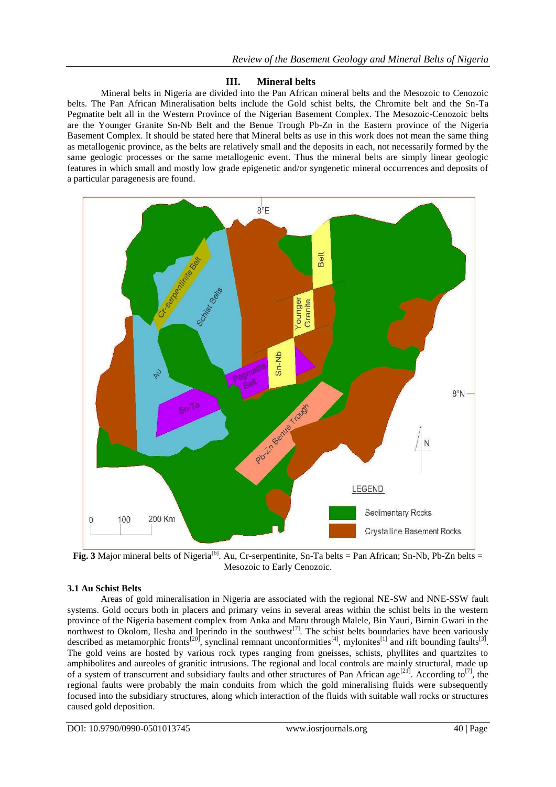## **III. Mineral belts**

Mineral belts in Nigeria are divided into the Pan African mineral belts and the Mesozoic to Cenozoic belts. The Pan African Mineralisation belts include the Gold schist belts, the Chromite belt and the Sn-Ta Pegmatite belt all in the Western Province of the Nigerian Basement Complex. The Mesozoic-Cenozoic belts are the Younger Granite Sn-Nb Belt and the Benue Trough Pb-Zn in the Eastern province of the Nigeria Basement Complex. It should be stated here that Mineral belts as use in this work does not mean the same thing as metallogenic province, as the belts are relatively small and the deposits in each, not necessarily formed by the same geologic processes or the same metallogenic event. Thus the mineral belts are simply linear geologic features in which small and mostly low grade epigenetic and/or syngenetic mineral occurrences and deposits of a particular paragenesis are found.



**Fig. 3** Major mineral belts of Nigeria<sup>[6]</sup>. Au, Cr-serpentinite, Sn-Ta belts = Pan African; Sn-Nb, Pb-Zn belts = Mesozoic to Early Cenozoic.

## **3.1 Au Schist Belts**

Areas of gold mineralisation in Nigeria are associated with the regional NE-SW and NNE-SSW fault systems. Gold occurs both in placers and primary veins in several areas within the schist belts in the western province of the Nigeria basement complex from Anka and Maru through Malele, Bin Yauri, Birnin Gwari in the northwest to Okolom, Ilesha and Iperindo in the southwest<sup>[7]</sup>. The schist belts boundaries have been variously described as metamorphic fronts<sup>[20]</sup>, synclinal remnant unconformities<sup>[4]</sup>, mylonites<sup>[1]</sup> and rift bounding faults<sup>[3]</sup>. The gold veins are hosted by various rock types ranging from gneisses, schists, phyllites and quartzites to amphibolites and aureoles of granitic intrusions. The regional and local controls are mainly structural, made up of a system of transcurrent and subsidiary faults and other structures of Pan African age<sup>[21]</sup>. According to<sup>[7]</sup>, the regional faults were probably the main conduits from which the gold mineralising fluids were subsequently focused into the subsidiary structures, along which interaction of the fluids with suitable wall rocks or structures caused gold deposition.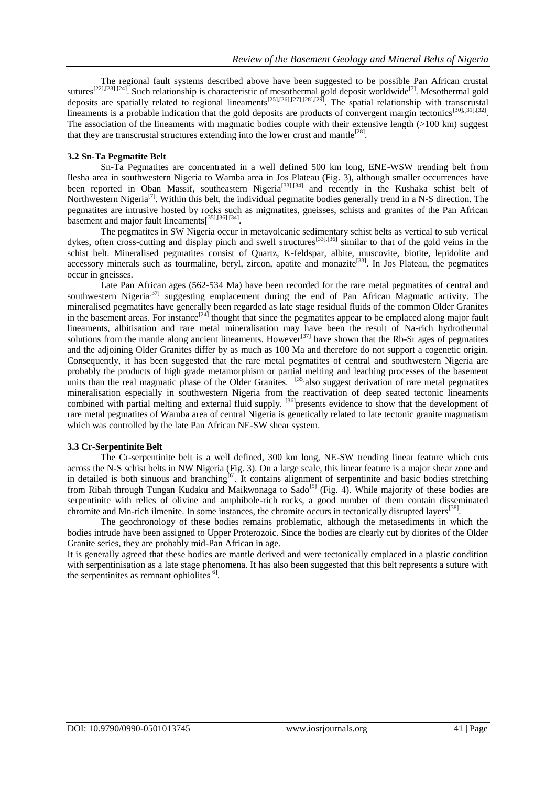The regional fault systems described above have been suggested to be possible Pan African crustal sutures<sup>[22],[23],[24]</sup>. Such relationship is characteristic of mesothermal gold deposit worldwide<sup>[7]</sup>. Mesothermal gold deposits are spatially related to regional lineaments<sup>[25],[26],[27],[28],[29]</sup>. The spatial relationship with transcrustal lineaments is a probable indication that the gold deposits are products of convergent margin tectonics<sup>[30],[31],[32]</sup>. The association of the lineaments with magmatic bodies couple with their extensive length (>100 km) suggest that they are transcrustal structures extending into the lower crust and mantle<sup>[28]</sup>.

### **3.2 Sn-Ta Pegmatite Belt**

Sn-Ta Pegmatites are concentrated in a well defined 500 km long, ENE-WSW trending belt from Ilesha area in southwestern Nigeria to Wamba area in Jos Plateau (Fig. 3), although smaller occurrences have been reported in Oban Massif, southeastern Nigeria<sup>[33],[34]</sup> and recently in the Kushaka schist belt of Northwestern Nigeria<sup>[7]</sup>. Within this belt, the individual pegmatite bodies generally trend in a N-S direction. The pegmatites are intrusive hosted by rocks such as migmatites, gneisses, schists and granites of the Pan African basement and major fault lineaments<sup>[35],[36],[34]</sup>.

The pegmatites in SW Nigeria occur in metavolcanic sedimentary schist belts as vertical to sub vertical dykes, often cross-cutting and display pinch and swell structures<sup>[33],[36]</sup> similar to that of the gold veins in the schist belt. Mineralised pegmatites consist of Quartz, K-feldspar, albite, muscovite, biotite, lepidolite and accessory minerals such as tourmaline, beryl, zircon, apatite and monazite<sup>[33]</sup>. In Jos Plateau, the pegmatites occur in gneisses.

Late Pan African ages (562-534 Ma) have been recorded for the rare metal pegmatites of central and southwestern Nigeria<sup>[37]</sup> suggesting emplacement during the end of Pan African Magmatic activity. The mineralised pegmatites have generally been regarded as late stage residual fluids of the common Older Granites in the basement areas. For instance<sup>[24]</sup> thought that since the pegmatites appear to be emplaced along major fault lineaments, albitisation and rare metal mineralisation may have been the result of Na-rich hydrothermal solutions from the mantle along ancient lineaments. However<sup>[37]</sup> have shown that the Rb-Sr ages of pegmatites and the adjoining Older Granites differ by as much as 100 Ma and therefore do not support a cogenetic origin. Consequently, it has been suggested that the rare metal pegmatites of central and southwestern Nigeria are probably the products of high grade metamorphism or partial melting and leaching processes of the basement units than the real magmatic phase of the Older Granites. <sup>[35]</sup>also suggest derivation of rare metal pegmatites mineralisation especially in southwestern Nigeria from the reactivation of deep seated tectonic lineaments combined with partial melting and external fluid supply. <sup>[36]</sup> presents evidence to show that the development of rare metal pegmatites of Wamba area of central Nigeria is genetically related to late tectonic granite magmatism which was controlled by the late Pan African NE-SW shear system.

#### **3.3 Cr-Serpentinite Belt**

The Cr-serpentinite belt is a well defined, 300 km long, NE-SW trending linear feature which cuts across the N-S schist belts in NW Nigeria (Fig. 3). On a large scale, this linear feature is a major shear zone and in detailed is both sinuous and branching<sup>[6]</sup>. It contains alignment of serpentinite and basic bodies stretching from Ribah through Tungan Kudaku and Maikwonaga to Sado<sup>[5]</sup> (Fig. 4). While majority of these bodies are serpentinite with relics of olivine and amphibole-rich rocks, a good number of them contain disseminated chromite and Mn-rich ilmenite. In some instances, the chromite occurs in tectonically disrupted layers<sup>[38]</sup>.

The geochronology of these bodies remains problematic, although the metasediments in which the bodies intrude have been assigned to Upper Proterozoic. Since the bodies are clearly cut by diorites of the Older Granite series, they are probably mid-Pan African in age.

It is generally agreed that these bodies are mantle derived and were tectonically emplaced in a plastic condition with serpentinisation as a late stage phenomena. It has also been suggested that this belt represents a suture with the serpentinites as remnant ophiolites<sup>[6]</sup>.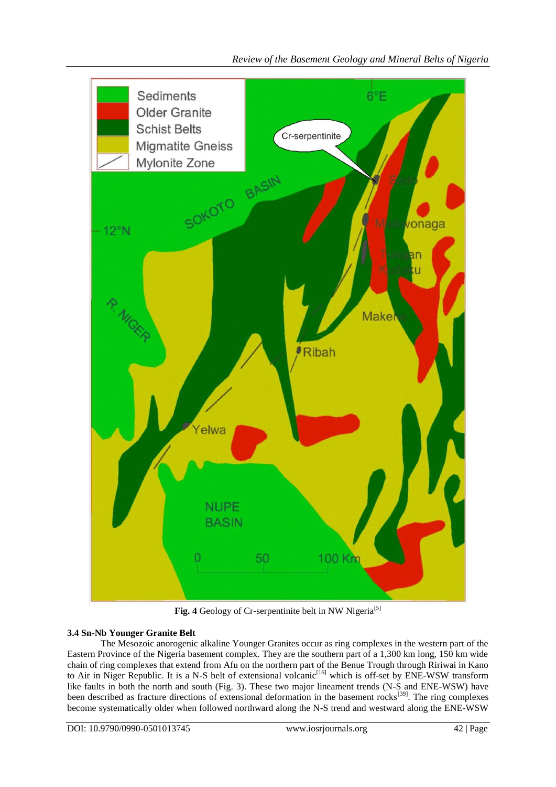

Fig. 4 Geology of Cr-serpentinite belt in NW Nigeria<sup>[5]</sup>

## **3.4 Sn-Nb Younger Granite Belt**

The Mesozoic anorogenic alkaline Younger Granites occur as ring complexes in the western part of the Eastern Province of the Nigeria basement complex. They are the southern part of a 1,300 km long, 150 km wide chain of ring complexes that extend from Afu on the northern part of the Benue Trough through Ririwai in Kano to Air in Niger Republic. It is a N-S belt of extensional volcanic<sup>[16]</sup> which is off-set by ENE-WSW transform like faults in both the north and south (Fig. 3). These two major lineament trends (N-S and ENE-WSW) have been described as fracture directions of extensional deformation in the basement rocks<sup>[39]</sup>. The ring complexes become systematically older when followed northward along the N-S trend and westward along the ENE-WSW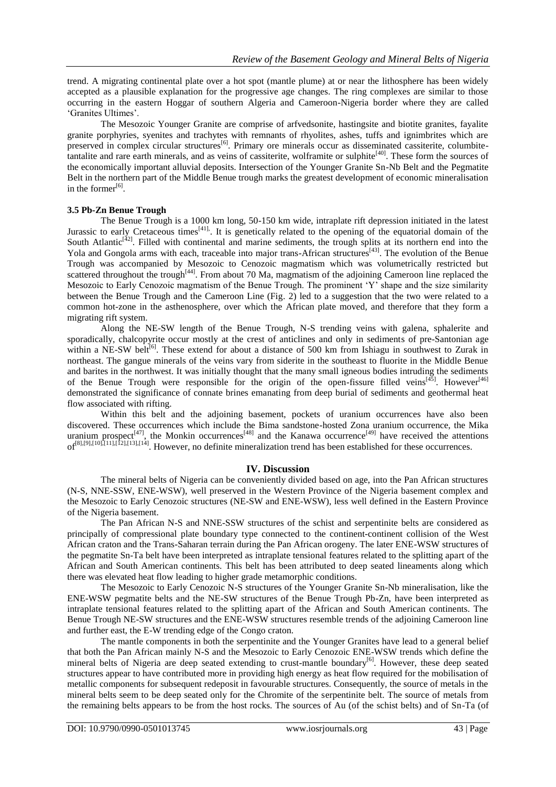trend. A migrating continental plate over a hot spot (mantle plume) at or near the lithosphere has been widely accepted as a plausible explanation for the progressive age changes. The ring complexes are similar to those occurring in the eastern Hoggar of southern Algeria and Cameroon-Nigeria border where they are called 'Granites Ultimes'.

The Mesozoic Younger Granite are comprise of arfvedsonite, hastingsite and biotite granites, fayalite granite porphyries, syenites and trachytes with remnants of rhyolites, ashes, tuffs and ignimbrites which are preserved in complex circular structures<sup>[6]</sup>. Primary ore minerals occur as disseminated cassiterite, columbitetantalite and rare earth minerals, and as veins of cassiterite, wolframite or sulphite<sup>[40]</sup>. These form the sources of the economically important alluvial deposits. Intersection of the Younger Granite Sn-Nb Belt and the Pegmatite Belt in the northern part of the Middle Benue trough marks the greatest development of economic mineralisation in the former $^{[6]}$ .

#### **3.5 Pb-Zn Benue Trough**

The Benue Trough is a 1000 km long, 50-150 km wide, intraplate rift depression initiated in the latest Jurassic to early Cretaceous times<sup>[41]</sup>. It is genetically related to the opening of the equatorial domain of the South Atlantic<sup>[42]</sup>. Filled with continental and marine sediments, the trough splits at its northern end into the Yola and Gongola arms with each, traceable into major trans-African structures<sup>[43]</sup>. The evolution of the Benue Trough was accompanied by Mesozoic to Cenozoic magmatism which was volumetrically restricted but scattered throughout the trough<sup>[44]</sup>. From about 70 Ma, magmatism of the adjoining Cameroon line replaced the Mesozoic to Early Cenozoic magmatism of the Benue Trough. The prominent 'Y' shape and the size similarity between the Benue Trough and the Cameroon Line (Fig. 2) led to a suggestion that the two were related to a common hot-zone in the asthenosphere, over which the African plate moved, and therefore that they form a migrating rift system.

Along the NE-SW length of the Benue Trough, N-S trending veins with galena, sphalerite and sporadically, chalcopyrite occur mostly at the crest of anticlines and only in sediments of pre-Santonian age within a NE-SW belt<sup>[6]</sup>. These extend for about a distance of 500 km from Ishiagu in southwest to Zurak in northeast. The gangue minerals of the veins vary from siderite in the southeast to fluorite in the Middle Benue and barites in the northwest. It was initially thought that the many small igneous bodies intruding the sediments of the Benue Trough were responsible for the origin of the open-fissure filled veins[45]. However[46] demonstrated the significance of connate brines emanating from deep burial of sediments and geothermal heat flow associated with rifting.

Within this belt and the adjoining basement, pockets of uranium occurrences have also been discovered. These occurrences which include the Bima sandstone-hosted Zona uranium occurrence, the Mika uranium prospect<sup>[47]</sup>, the Monkin occurrences<sup>[48]</sup> and the Kanawa occurrence<sup>[49]</sup> have received the attentions  $of^{81,[9],[10],[11],[12],[13],[14]}$ . However, no definite mineralization trend has been established for these occurrences.

#### **IV. Discussion**

The mineral belts of Nigeria can be conveniently divided based on age, into the Pan African structures (N-S, NNE-SSW, ENE-WSW), well preserved in the Western Province of the Nigeria basement complex and the Mesozoic to Early Cenozoic structures (NE-SW and ENE-WSW), less well defined in the Eastern Province of the Nigeria basement.

The Pan African N-S and NNE-SSW structures of the schist and serpentinite belts are considered as principally of compressional plate boundary type connected to the continent-continent collision of the West African craton and the Trans-Saharan terrain during the Pan African orogeny. The later ENE-WSW structures of the pegmatite Sn-Ta belt have been interpreted as intraplate tensional features related to the splitting apart of the African and South American continents. This belt has been attributed to deep seated lineaments along which there was elevated heat flow leading to higher grade metamorphic conditions.

The Mesozoic to Early Cenozoic N-S structures of the Younger Granite Sn-Nb mineralisation, like the ENE-WSW pegmatite belts and the NE-SW structures of the Benue Trough Pb-Zn, have been interpreted as intraplate tensional features related to the splitting apart of the African and South American continents. The Benue Trough NE-SW structures and the ENE-WSW structures resemble trends of the adjoining Cameroon line and further east, the E-W trending edge of the Congo craton.

The mantle components in both the serpentinite and the Younger Granites have lead to a general belief that both the Pan African mainly N-S and the Mesozoic to Early Cenozoic ENE-WSW trends which define the mineral belts of Nigeria are deep seated extending to crust-mantle boundary<sup>[6]</sup>. However, these deep seated structures appear to have contributed more in providing high energy as heat flow required for the mobilisation of metallic components for subsequent redeposit in favourable structures. Consequently, the source of metals in the mineral belts seem to be deep seated only for the Chromite of the serpentinite belt. The source of metals from the remaining belts appears to be from the host rocks. The sources of Au (of the schist belts) and of Sn-Ta (of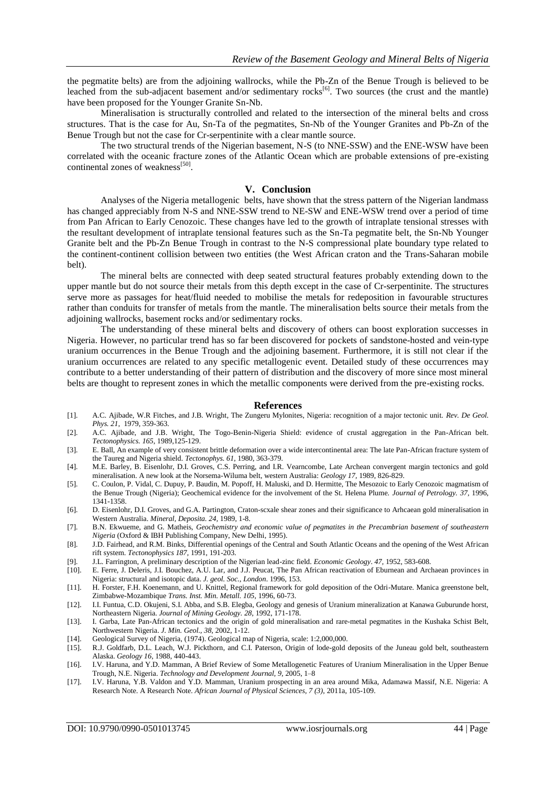the pegmatite belts) are from the adjoining wallrocks, while the Pb-Zn of the Benue Trough is believed to be leached from the sub-adjacent basement and/or sedimentary rocks<sup>[6]</sup>. Two sources (the crust and the mantle) have been proposed for the Younger Granite Sn-Nb.

Mineralisation is structurally controlled and related to the intersection of the mineral belts and cross structures. That is the case for Au, Sn-Ta of the pegmatites, Sn-Nb of the Younger Granites and Pb-Zn of the Benue Trough but not the case for Cr-serpentinite with a clear mantle source.

The two structural trends of the Nigerian basement, N-S (to NNE-SSW) and the ENE-WSW have been correlated with the oceanic fracture zones of the Atlantic Ocean which are probable extensions of pre-existing continental zones of weakness<sup>[50]</sup>.

#### **V. Conclusion**

Analyses of the Nigeria metallogenic belts, have shown that the stress pattern of the Nigerian landmass has changed appreciably from N-S and NNE-SSW trend to NE-SW and ENE-WSW trend over a period of time from Pan African to Early Cenozoic. These changes have led to the growth of intraplate tensional stresses with the resultant development of intraplate tensional features such as the Sn-Ta pegmatite belt, the Sn-Nb Younger Granite belt and the Pb-Zn Benue Trough in contrast to the N-S compressional plate boundary type related to the continent-continent collision between two entities (the West African craton and the Trans-Saharan mobile belt).

The mineral belts are connected with deep seated structural features probably extending down to the upper mantle but do not source their metals from this depth except in the case of Cr-serpentinite. The structures serve more as passages for heat/fluid needed to mobilise the metals for redeposition in favourable structures rather than conduits for transfer of metals from the mantle. The mineralisation belts source their metals from the adjoining wallrocks, basement rocks and/or sedimentary rocks.

The understanding of these mineral belts and discovery of others can boost exploration successes in Nigeria. However, no particular trend has so far been discovered for pockets of sandstone-hosted and vein-type uranium occurrences in the Benue Trough and the adjoining basement. Furthermore, it is still not clear if the uranium occurrences are related to any specific metallogenic event. Detailed study of these occurrences may contribute to a better understanding of their pattern of distribution and the discovery of more since most mineral belts are thought to represent zones in which the metallic components were derived from the pre-existing rocks.

#### **References**

- [1]. A.C. Ajibade, W.R Fitches, and J.B. Wright, The Zungeru Mylonites, Nigeria: recognition of a major tectonic unit. *Rev. De Geol. Phys. 21,* 1979, 359-363.
- [2]. A.C. Ajibade, and J.B. Wright, The Togo-Benin-Nigeria Shield: evidence of crustal aggregation in the Pan-African belt. *Tectonophysics. 165*, 1989,125-129.
- [3]. E. Ball, An example of very consistent brittle deformation over a wide intercontinental area: The late Pan-African fracture system of the Taureg and Nigeria shield. *Tectonophys. 61,* 1980, 363-379.
- [4]. M.E. Barley, B. Eisenlohr, D.I. Groves, C.S. Perring, and I.R. Vearncombe, Late Archean convergent margin tectonics and gold mineralisation. A new look at the Norsema-Wiluma belt, western Australia: *Geology 17,* 1989, 826-829.
- [5]. C. Coulon, P. Vidal, C. Dupuy, P. Baudin, M. Popoff, H. Maluski, and D. Hermitte, The Mesozoic to Early Cenozoic magmatism of the Benue Trough (Nigeria); Geochemical evidence for the involvement of the St. Helena Plume. *Journal of Petrology. 37,* 1996, 1341-1358.
- [6]. D. Eisenlohr, D.I. Groves, and G.A. Partington, Craton-scxale shear zones and their significance to Arhcaean gold mineralisation in Western Australia. *Mineral, Deposita. 24,* 1989, 1-8.
- [7]. B.N. Ekwueme, and G. Matheis, *Geochemistry and economic value of pegmatites in the Precambrian basement of southeastern Nigeria* (Oxford & IBH Publishing Company, New Delhi, 1995).
- [8]. J.D. Fairhead, and R.M. Binks, Differential openings of the Central and South Atlantic Oceans and the opening of the West African rift system. *Tectonophysics 187,* 1991, 191-203.
- [9]. J.L. Farrington, A preliminary description of the Nigerian lead-zinc field. *Economic Geology*. *47,* 1952, 583-608.
- [10]. E. Ferre, J. Deleris, J.I. Bouchez, A.U. Lar, and J.J. Peucat, The Pan African reactivation of Eburnean and Archaean provinces in Nigeria: structural and isotopic data. *J. geol. Soc., London*. 1996, 153.
- [11]. H. Forster, F.H. Koenemann, and U. Knittel, Regional framework for gold deposition of the Odri-Mutare. Manica greenstone belt, Zimbabwe-Mozambique *Trans. Inst. Min. Metall. 105,* 1996, 60-73.
- [12]. I.I. Funtua, C.D. Okujeni, S.I. Abba, and S.B. Elegba, Geology and genesis of Uranium mineralization at Kanawa Guburunde horst, Northeastern Nigeria. *Journal of Mining Geology. 28,* 1992, 171-178.
- [13]. I. Garba, Late Pan-African tectonics and the origin of gold mineralisation and rare-metal pegmatites in the Kushaka Schist Belt, Northwestern Nigeria. *J. Min. Geol., 38,* 2002, 1-12.
- [14]. Geological Survey of Nigeria, (1974). Geological map of Nigeria, scale: 1:2,000,000.
- [15]. R.J. Goldfarb, D.L. Leach, W.J. Pickthorn, and C.I. Paterson, Origin of lode-gold deposits of the Juneau gold belt, southeastern Alaska. *Geology 16,* 1988, 440-443.
- [16]. I.V. Haruna, and Y.D. Mamman, A Brief Review of Some Metallogenetic Features of Uranium Mineralisation in the Upper Benue Trough, N.E. Nigeria. *Technology and Development Journal, 9,* 2005, 1–8
- [17]. I.V. Haruna, Y.B. Valdon and Y.D. Mamman, Uranium prospecting in an area around Mika, Adamawa Massif, N.E. Nigeria: A Research Note. A Research Note. *African Journal of Physical Sciences, 7 (3),* 2011a, 105-109.